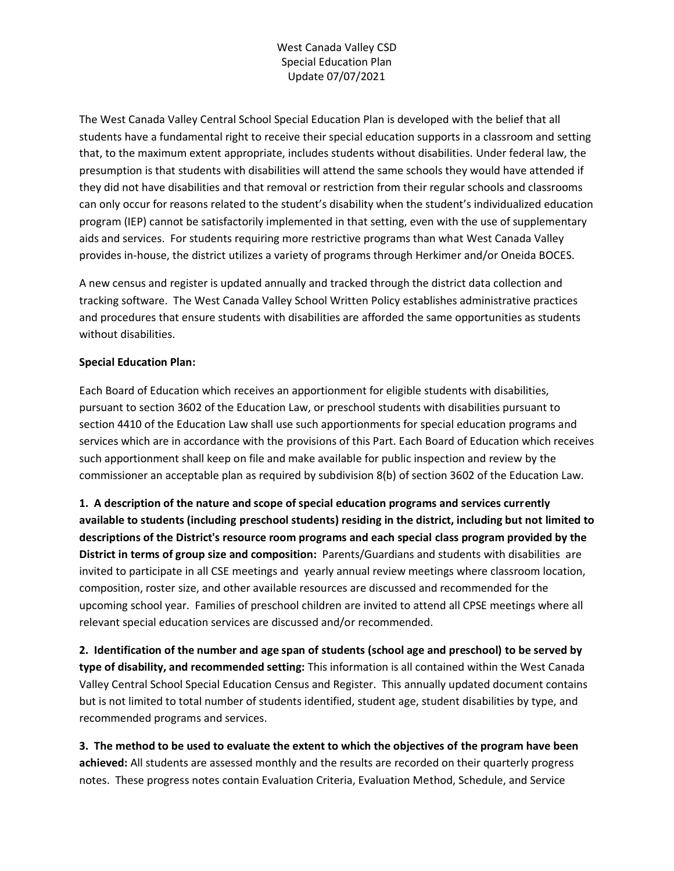## West Canada Valley CSD Special Education Plan Update 07/07/2021

The West Canada Valley Central School Special Education Plan is developed with the belief that all students have a fundamental right to receive their special education supports in a classroom and setting that, to the maximum extent appropriate, includes students without disabilities. Under federal law, the presumption is that students with disabilities will attend the same schools they would have attended if they did not have disabilities and that removal or restriction from their regular schools and classrooms can only occur for reasons related to the student's disability when the student's individualized education program (IEP) cannot be satisfactorily implemented in that setting, even with the use of supplementary aids and services. For students requiring more restrictive programs than what West Canada Valley provides in-house, the district utilizes a variety of programs through Herkimer and/or Oneida BOCES.

A new census and register is updated annually and tracked through the district data collection and tracking software. The West Canada Valley School Written Policy establishes administrative practices and procedures that ensure students with disabilities are afforded the same opportunities as students without disabilities.

## **Special Education Plan:**

Each Board of Education which receives an apportionment for eligible students with disabilities, pursuant to section 3602 of the Education Law, or preschool students with disabilities pursuant to section 4410 of the Education Law shall use such apportionments for special education programs and services which are in accordance with the provisions of this Part. Each Board of Education which receives such apportionment shall keep on file and make available for public inspection and review by the commissioner an acceptable plan as required by subdivision 8(b) of section 3602 of the Education Law.

**1. A description of the nature and scope of special education programs and services currently available to students (including preschool students) residing in the district, including but not limited to descriptions of the District's resource room programs and each special class program provided by the District in terms of group size and composition:** Parents/Guardians and students with disabilities are invited to participate in all CSE meetings and yearly annual review meetings where classroom location, composition, roster size, and other available resources are discussed and recommended for the upcoming school year. Families of preschool children are invited to attend all CPSE meetings where all relevant special education services are discussed and/or recommended.

**2. Identification of the number and age span of students (school age and preschool) to be served by type of disability, and recommended setting:** This information is all contained within the West Canada Valley Central School Special Education Census and Register. This annually updated document contains but is not limited to total number of students identified, student age, student disabilities by type, and recommended programs and services.

**3. The method to be used to evaluate the extent to which the objectives of the program have been achieved:** All students are assessed monthly and the results are recorded on their quarterly progress notes. These progress notes contain Evaluation Criteria, Evaluation Method, Schedule, and Service